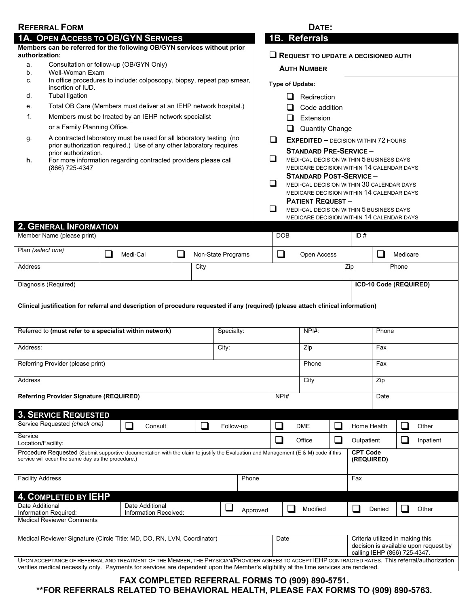|                                                                                                                                            | <b>REFERRAL FORM</b>                                                                                                                       |                                                                                                                                                                                                                                                                                              |                                                                                                   |                    |                                             |                                            | DATE:                          |     |                                           |                                                                                                           |                          |       |  |  |  |
|--------------------------------------------------------------------------------------------------------------------------------------------|--------------------------------------------------------------------------------------------------------------------------------------------|----------------------------------------------------------------------------------------------------------------------------------------------------------------------------------------------------------------------------------------------------------------------------------------------|---------------------------------------------------------------------------------------------------|--------------------|---------------------------------------------|--------------------------------------------|--------------------------------|-----|-------------------------------------------|-----------------------------------------------------------------------------------------------------------|--------------------------|-------|--|--|--|
|                                                                                                                                            | 1A. OPEN ACCESS TO OB/GYN SERVICES                                                                                                         |                                                                                                                                                                                                                                                                                              |                                                                                                   | 1B. Referrals      |                                             |                                            |                                |     |                                           |                                                                                                           |                          |       |  |  |  |
| Members can be referred for the following OB/GYN services without prior<br>authorization:<br>Consultation or follow-up (OB/GYN Only)<br>a. |                                                                                                                                            |                                                                                                                                                                                                                                                                                              |                                                                                                   |                    |                                             | $\Box$ REQUEST TO UPDATE A DECISIONED AUTH |                                |     |                                           |                                                                                                           |                          |       |  |  |  |
| b.                                                                                                                                         | Well-Woman Exam                                                                                                                            |                                                                                                                                                                                                                                                                                              |                                                                                                   |                    |                                             | <b>AUTH NUMBER</b>                         |                                |     |                                           |                                                                                                           |                          |       |  |  |  |
| c.                                                                                                                                         | In office procedures to include: colposcopy, biopsy, repeat pap smear,<br>insertion of IUD.                                                |                                                                                                                                                                                                                                                                                              |                                                                                                   |                    |                                             | <b>Type of Update:</b>                     |                                |     |                                           |                                                                                                           |                          |       |  |  |  |
| d.                                                                                                                                         | <b>Tubal ligation</b>                                                                                                                      |                                                                                                                                                                                                                                                                                              |                                                                                                   | $\mathsf{L}$       | Redirection                                 |                                            |                                |     |                                           |                                                                                                           |                          |       |  |  |  |
| е.                                                                                                                                         | Total OB Care (Members must deliver at an IEHP network hospital.)                                                                          |                                                                                                                                                                                                                                                                                              |                                                                                                   |                    |                                             | Code addition                              |                                |     |                                           |                                                                                                           |                          |       |  |  |  |
| f.                                                                                                                                         | Members must be treated by an IEHP network specialist                                                                                      |                                                                                                                                                                                                                                                                                              |                                                                                                   |                    |                                             | Extension                                  |                                |     |                                           |                                                                                                           |                          |       |  |  |  |
|                                                                                                                                            | or a Family Planning Office.                                                                                                               |                                                                                                                                                                                                                                                                                              |                                                                                                   |                    |                                             |                                            | <b>Quantity Change</b>         |     |                                           |                                                                                                           |                          |       |  |  |  |
| g.                                                                                                                                         | A contracted laboratory must be used for all laboratory testing (no<br>prior authorization required.) Use of any other laboratory requires |                                                                                                                                                                                                                                                                                              | □                                                                                                 |                    | <b>EXPEDITED - DECISION WITHIN 72 HOURS</b> |                                            |                                |     |                                           |                                                                                                           |                          |       |  |  |  |
|                                                                                                                                            | prior authorization.<br>For more information regarding contracted providers please call                                                    |                                                                                                                                                                                                                                                                                              |                                                                                                   |                    |                                             | <b>STANDARD PRE-SERVICE -</b>              |                                |     |                                           |                                                                                                           |                          |       |  |  |  |
| h.                                                                                                                                         | (866) 725-4347                                                                                                                             |                                                                                                                                                                                                                                                                                              | ❏<br><b>MEDI-CAL DECISION WITHIN 5 BUSINESS DAYS</b><br>MEDICARE DECISION WITHIN 14 CALENDAR DAYS |                    |                                             |                                            |                                |     |                                           |                                                                                                           |                          |       |  |  |  |
|                                                                                                                                            |                                                                                                                                            |                                                                                                                                                                                                                                                                                              |                                                                                                   |                    |                                             |                                            | <b>STANDARD POST-SERVICE -</b> |     |                                           |                                                                                                           |                          |       |  |  |  |
|                                                                                                                                            |                                                                                                                                            |                                                                                                                                                                                                                                                                                              | ❏<br>MEDI-CAL DECISION WITHIN 30 CALENDAR DAYS                                                    |                    |                                             |                                            |                                |     |                                           |                                                                                                           |                          |       |  |  |  |
|                                                                                                                                            |                                                                                                                                            |                                                                                                                                                                                                                                                                                              |                                                                                                   |                    |                                             |                                            |                                |     | MEDICARE DECISION WITHIN 14 CALENDAR DAYS |                                                                                                           |                          |       |  |  |  |
|                                                                                                                                            |                                                                                                                                            |                                                                                                                                                                                                                                                                                              |                                                                                                   |                    | <b>PATIENT REQUEST -</b>                    |                                            |                                |     |                                           |                                                                                                           |                          |       |  |  |  |
|                                                                                                                                            |                                                                                                                                            |                                                                                                                                                                                                                                                                                              | ❏<br>MEDI-CAL DECISION WITHIN 5 BUSINESS DAYS<br>MEDICARE DECISION WITHIN 14 CALENDAR DAYS        |                    |                                             |                                            |                                |     |                                           |                                                                                                           |                          |       |  |  |  |
|                                                                                                                                            | <b>2. GENERAL INFORMATION</b>                                                                                                              |                                                                                                                                                                                                                                                                                              |                                                                                                   |                    |                                             |                                            |                                |     |                                           |                                                                                                           |                          |       |  |  |  |
|                                                                                                                                            | Member Name (please print)                                                                                                                 |                                                                                                                                                                                                                                                                                              |                                                                                                   |                    |                                             | <b>DOB</b>                                 |                                |     | ID#                                       |                                                                                                           |                          |       |  |  |  |
|                                                                                                                                            |                                                                                                                                            |                                                                                                                                                                                                                                                                                              |                                                                                                   |                    |                                             |                                            |                                |     |                                           |                                                                                                           |                          |       |  |  |  |
| Plan (select one)<br>$\Box$<br>$\Box$<br>Medi-Cal                                                                                          |                                                                                                                                            |                                                                                                                                                                                                                                                                                              |                                                                                                   | Non-State Programs | $\Box$                                      |                                            |                                |     |                                           | $\mathbf{r}$<br>Medicare                                                                                  |                          |       |  |  |  |
| <b>Address</b>                                                                                                                             |                                                                                                                                            |                                                                                                                                                                                                                                                                                              | City                                                                                              |                    |                                             |                                            |                                | Zip |                                           |                                                                                                           | Phone                    |       |  |  |  |
| Diagnosis (Required)                                                                                                                       |                                                                                                                                            |                                                                                                                                                                                                                                                                                              |                                                                                                   |                    |                                             |                                            |                                |     |                                           | ICD-10 Code (REQUIRED)                                                                                    |                          |       |  |  |  |
|                                                                                                                                            |                                                                                                                                            | Clinical justification for referral and description of procedure requested if any (required) (please attach clinical information)                                                                                                                                                            |                                                                                                   |                    |                                             |                                            |                                |     |                                           |                                                                                                           |                          |       |  |  |  |
| Referred to (must refer to a specialist within network)                                                                                    | Specialty:                                                                                                                                 | NPH:                                                                                                                                                                                                                                                                                         |                                                                                                   |                    |                                             | Phone                                      |                                |     |                                           |                                                                                                           |                          |       |  |  |  |
| Address:                                                                                                                                   |                                                                                                                                            |                                                                                                                                                                                                                                                                                              |                                                                                                   | City:              |                                             | Zip                                        |                                |     | Fax                                       |                                                                                                           |                          |       |  |  |  |
| Referring Provider (please print)                                                                                                          |                                                                                                                                            |                                                                                                                                                                                                                                                                                              |                                                                                                   |                    |                                             |                                            |                                |     | Fax                                       |                                                                                                           |                          |       |  |  |  |
| Address                                                                                                                                    |                                                                                                                                            |                                                                                                                                                                                                                                                                                              |                                                                                                   |                    | City                                        |                                            |                                |     | Zip                                       |                                                                                                           |                          |       |  |  |  |
|                                                                                                                                            |                                                                                                                                            | NPI#                                                                                                                                                                                                                                                                                         |                                                                                                   |                    |                                             | Date                                       |                                |     |                                           |                                                                                                           |                          |       |  |  |  |
|                                                                                                                                            | Referring Provider Signature (REQUIRED)                                                                                                    |                                                                                                                                                                                                                                                                                              |                                                                                                   |                    |                                             |                                            |                                |     |                                           |                                                                                                           |                          |       |  |  |  |
|                                                                                                                                            | <b>3. SERVICE REQUESTED</b><br>Service Requested (check one)                                                                               | $\Box$<br>Consult                                                                                                                                                                                                                                                                            | $\overline{\phantom{a}}$                                                                          | Follow-up          |                                             | ⊔                                          | <b>DME</b>                     |     | Home Health                               |                                                                                                           |                          | Other |  |  |  |
| Service<br>Location/Facility:                                                                                                              |                                                                                                                                            |                                                                                                                                                                                                                                                                                              |                                                                                                   |                    |                                             | $\Box$<br>$\Box$<br>Office                 |                                |     | $\sqcup$<br>Outpatient<br>Inpatient       |                                                                                                           |                          |       |  |  |  |
|                                                                                                                                            |                                                                                                                                            | Procedure Requested (Submit supportive documentation with the claim to justify the Evaluation and Management (E & M) code if this                                                                                                                                                            |                                                                                                   |                    |                                             |                                            |                                |     | <b>CPT Code</b>                           |                                                                                                           |                          |       |  |  |  |
|                                                                                                                                            | service will occur the same day as the procedure.)                                                                                         |                                                                                                                                                                                                                                                                                              |                                                                                                   |                    |                                             |                                            |                                |     | (REQUIRED)                                |                                                                                                           |                          |       |  |  |  |
| <b>Facility Address</b>                                                                                                                    |                                                                                                                                            |                                                                                                                                                                                                                                                                                              |                                                                                                   | Phone              |                                             |                                            |                                |     | Fax                                       |                                                                                                           |                          |       |  |  |  |
|                                                                                                                                            | <b>4. COMPLETED BY IEHP</b>                                                                                                                |                                                                                                                                                                                                                                                                                              |                                                                                                   |                    |                                             |                                            |                                |     |                                           |                                                                                                           |                          |       |  |  |  |
| Date Additional                                                                                                                            |                                                                                                                                            | Date Additional                                                                                                                                                                                                                                                                              |                                                                                                   | $\sqcup$           |                                             | $\Box$                                     | Modified                       |     | H                                         |                                                                                                           |                          |       |  |  |  |
|                                                                                                                                            | Information Required:                                                                                                                      | Information Received:                                                                                                                                                                                                                                                                        |                                                                                                   | Approved           |                                             |                                            |                                |     |                                           | Denied                                                                                                    | $\overline{\phantom{a}}$ | Other |  |  |  |
|                                                                                                                                            | <b>Medical Reviewer Comments</b>                                                                                                           |                                                                                                                                                                                                                                                                                              |                                                                                                   |                    |                                             |                                            |                                |     |                                           |                                                                                                           |                          |       |  |  |  |
|                                                                                                                                            |                                                                                                                                            |                                                                                                                                                                                                                                                                                              |                                                                                                   |                    |                                             |                                            |                                |     |                                           |                                                                                                           |                          |       |  |  |  |
| Medical Reviewer Signature (Circle Title: MD, DO, RN, LVN, Coordinator)                                                                    |                                                                                                                                            |                                                                                                                                                                                                                                                                                              |                                                                                                   |                    |                                             | Date                                       |                                |     |                                           | Criteria utilized in making this<br>decision is available upon request by<br>calling IEHP (866) 725-4347. |                          |       |  |  |  |
|                                                                                                                                            |                                                                                                                                            | UPON ACCEPTANCE OF REFERRAL AND TREATMENT OF THE MEMBER, THE PHYSICIAN/PROVIDER AGREES TO ACCEPT IEHP CONTRACTED RATES. This referral/authorization<br>verifies medical necessity only. Payments for services are dependent upon the Member's eligibility at the time services are rendered. |                                                                                                   |                    |                                             |                                            |                                |     |                                           |                                                                                                           |                          |       |  |  |  |

## **FAX COMPLETED REFERRAL FORMS TO (909) 890-5751. \*\*FOR REFERRALS RELATED TO BEHAVIORAL HEALTH, PLEASE FAX FORMS TO (909) 890-5763.**